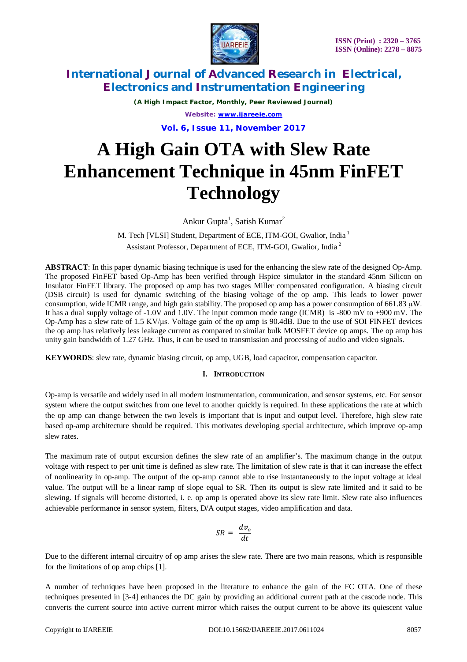

*(A High Impact Factor, Monthly, Peer Reviewed Journal) Website: [www.ijareeie.com](http://www.ijareeie.com)*

**Vol. 6, Issue 11, November 2017**

# **A High Gain OTA with Slew Rate Enhancement Technique in 45nm FinFET Technology**

Ankur Gupta<sup>1</sup>, Satish Kumar<sup>2</sup>

M. Tech [VLSI] Student, Department of ECE, ITM-GOI, Gwalior, India <sup>1</sup> Assistant Professor, Department of ECE, ITM-GOI, Gwalior, India <sup>2</sup>

**ABSTRACT**: In this paper dynamic biasing technique is used for the enhancing the slew rate of the designed Op-Amp. The proposed FinFET based Op-Amp has been verified through Hspice simulator in the standard 45nm Silicon on Insulator FinFET library. The proposed op amp has two stages Miller compensated configuration. A biasing circuit (DSB circuit) is used for dynamic switching of the biasing voltage of the op amp. This leads to lower power consumption, wide ICMR range, and high gain stability. The proposed op amp has a power consumption of 661.83  $\mu$ W. It has a dual supply voltage of -1.0V and 1.0V. The input common mode range (ICMR) is -800 mV to +900 mV. The Op-Amp has a slew rate of 1.5 KV/μs. Voltage gain of the op amp is 90.4dB. Due to the use of SOI FINFET devices the op amp has relatively less leakage current as compared to similar bulk MOSFET device op amps. The op amp has unity gain bandwidth of 1.27 GHz. Thus, it can be used to transmission and processing of audio and video signals.

**KEYWORDS**: slew rate, dynamic biasing circuit, op amp, UGB, load capacitor, compensation capacitor.

#### **I. INTRODUCTION**

Op-amp is versatile and widely used in all modern instrumentation, communication, and sensor systems, etc. For sensor system where the output switches from one level to another quickly is required. In these applications the rate at which the op amp can change between the two levels is important that is input and output level. Therefore, high slew rate based op-amp architecture should be required. This motivates developing special architecture, which improve op-amp slew rates.

The maximum rate of output excursion defines the slew rate of an amplifier's. The maximum change in the output voltage with respect to per unit time is defined as slew rate. The limitation of slew rate is that it can increase the effect of nonlinearity in op-amp. The output of the op-amp cannot able to rise instantaneously to the input voltage at ideal value. The output will be a linear ramp of slope equal to SR. Then its output is slew rate limited and it said to be slewing. If signals will become distorted, i. e. op amp is operated above its slew rate limit. Slew rate also influences achievable performance in sensor system, filters, D/A output stages, video amplification and data.

$$
SR = \frac{dv_o}{dt}
$$

Due to the different internal circuitry of op amp arises the slew rate. There are two main reasons, which is responsible for the limitations of op amp chips [1].

A number of techniques have been proposed in the literature to enhance the gain of the FC OTA. One of these techniques presented in [3-4] enhances the DC gain by providing an additional current path at the cascode node. This converts the current source into active current mirror which raises the output current to be above its quiescent value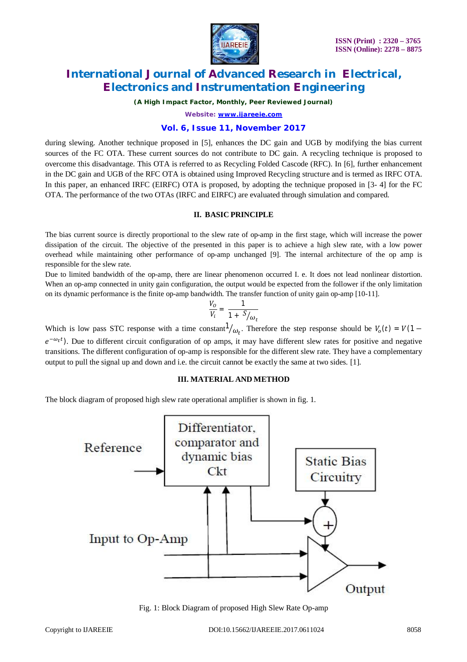

*(A High Impact Factor, Monthly, Peer Reviewed Journal)*

*Website: [www.ijareeie.com](http://www.ijareeie.com)*

#### **Vol. 6, Issue 11, November 2017**

during slewing. Another technique proposed in [5], enhances the DC gain and UGB by modifying the bias current sources of the FC OTA. These current sources do not contribute to DC gain. A recycling technique is proposed to overcome this disadvantage. This OTA is referred to as Recycling Folded Cascode (RFC). In [6], further enhancement in the DC gain and UGB of the RFC OTA is obtained using Improved Recycling structure and is termed as IRFC OTA. In this paper, an enhanced IRFC (EIRFC) OTA is proposed, by adopting the technique proposed in [3- 4] for the FC OTA. The performance of the two OTAs (IRFC and EIRFC) are evaluated through simulation and compared.

#### **II. BASIC PRINCIPLE**

The bias current source is directly proportional to the slew rate of op-amp in the first stage, which will increase the power dissipation of the circuit. The objective of the presented in this paper is to achieve a high slew rate, with a low power overhead while maintaining other performance of op-amp unchanged [9]. The internal architecture of the op amp is responsible for the slew rate.

Due to limited bandwidth of the op-amp, there are linear phenomenon occurred I. e. It does not lead nonlinear distortion. When an op-amp connected in unity gain configuration, the output would be expected from the follower if the only limitation on its dynamic performance is the finite op-amp bandwidth. The transfer function of unity gain op-amp [10-11].

$$
\frac{V_o}{V_i} = \frac{1}{1 + \frac{S}{\omega_t}}
$$

Which is low pass STC response with a time constant  $\frac{1}{\omega_t}$ . Therefore the step response should be  $V_o(t) = V(1-t)$  $e^{-\omega_t t}$ ). Due to different circuit configuration of op amps, it may have different slew rates for positive and negative transitions. The different configuration of op-amp is responsible for the different slew rate. They have a complementary output to pull the signal up and down and i.e. the circuit cannot be exactly the same at two sides. [1].

#### **III. MATERIAL AND METHOD**

The block diagram of proposed high slew rate operational amplifier is shown in fig. 1.



Fig. 1: Block Diagram of proposed High Slew Rate Op-amp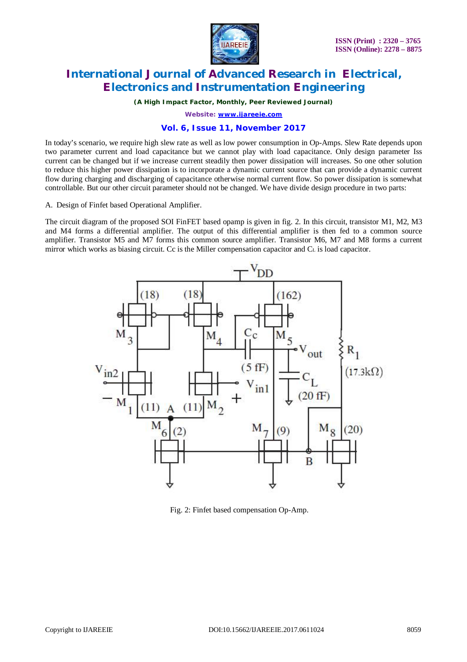

*(A High Impact Factor, Monthly, Peer Reviewed Journal)*

*Website: [www.ijareeie.com](http://www.ijareeie.com)*

### **Vol. 6, Issue 11, November 2017**

In today's scenario, we require high slew rate as well as low power consumption in Op-Amps. Slew Rate depends upon two parameter current and load capacitance but we cannot play with load capacitance. Only design parameter Iss current can be changed but if we increase current steadily then power dissipation will increases. So one other solution to reduce this higher power dissipation is to incorporate a dynamic current source that can provide a dynamic current flow during charging and discharging of capacitance otherwise normal current flow. So power dissipation is somewhat controllable. But our other circuit parameter should not be changed. We have divide design procedure in two parts:

A. Design of Finfet based Operational Amplifier.

The circuit diagram of the proposed SOI FinFET based opamp is given in fig. 2. In this circuit, transistor M1, M2, M3 and M4 forms a differential amplifier. The output of this differential amplifier is then fed to a common source amplifier. Transistor M5 and M7 forms this common source amplifier. Transistor M6, M7 and M8 forms a current mirror which works as biasing circuit. Cc is the Miller compensation capacitor and  $C<sub>L</sub>$  is load capacitor.



Fig. 2: Finfet based compensation Op-Amp.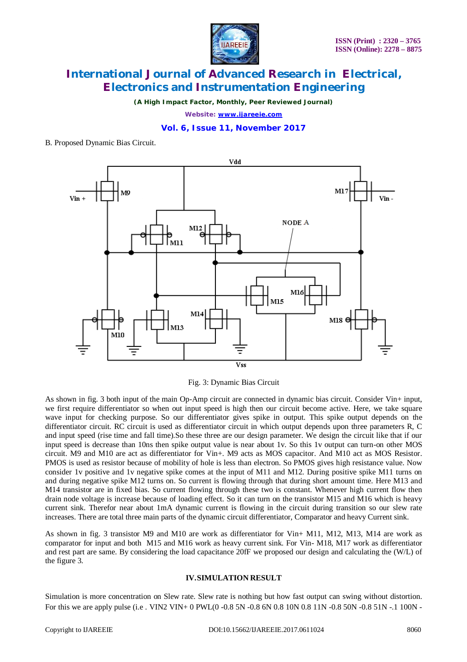

*(A High Impact Factor, Monthly, Peer Reviewed Journal)*

*Website: [www.ijareeie.com](http://www.ijareeie.com)*

#### **Vol. 6, Issue 11, November 2017**

#### B. Proposed Dynamic Bias Circuit.



Fig. 3: Dynamic Bias Circuit

As shown in fig. 3 both input of the main Op-Amp circuit are connected in dynamic bias circuit. Consider Vin+ input, we first require differentiator so when out input speed is high then our circuit become active. Here, we take square wave input for checking purpose. So our differentiator gives spike in output. This spike output depends on the differentiator circuit. RC circuit is used as differentiator circuit in which output depends upon three parameters R, C and input speed (rise time and fall time).So these three are our design parameter. We design the circuit like that if our input speed is decrease than 10ns then spike output value is near about 1v. So this 1v output can turn-on other MOS circuit. M9 and M10 are act as differentiator for Vin+. M9 acts as MOS capacitor. And M10 act as MOS Resistor. PMOS is used as resistor because of mobility of hole is less than electron. So PMOS gives high resistance value. Now consider 1v positive and 1v negative spike comes at the input of M11 and M12. During positive spike M11 turns on and during negative spike M12 turns on. So current is flowing through that during short amount time. Here M13 and M14 transistor are in fixed bias. So current flowing through these two is constant. Whenever high current flow then drain node voltage is increase because of loading effect. So it can turn on the transistor M15 and M16 which is heavy current sink. Therefor near about 1mA dynamic current is flowing in the circuit during transition so our slew rate increases. There are total three main parts of the dynamic circuit differentiator, Comparator and heavy Current sink.

As shown in fig. 3 transistor M9 and M10 are work as differentiator for Vin+ M11, M12, M13, M14 are work as comparator for input and both M15 and M16 work as heavy current sink. For Vin- M18, M17 work as differentiator and rest part are same. By considering the load capacitance 20fF we proposed our design and calculating the (W/L) of the figure 3.

#### **IV.SIMULATION RESULT**

Simulation is more concentration on Slew rate. Slew rate is nothing but how fast output can swing without distortion. For this we are apply pulse (i.e. VIN2 VIN+ 0 PWL(0 -0.8 5N -0.8 6N 0.8 10N 0.8 11N -0.8 50N -0.8 51N -.1 100N -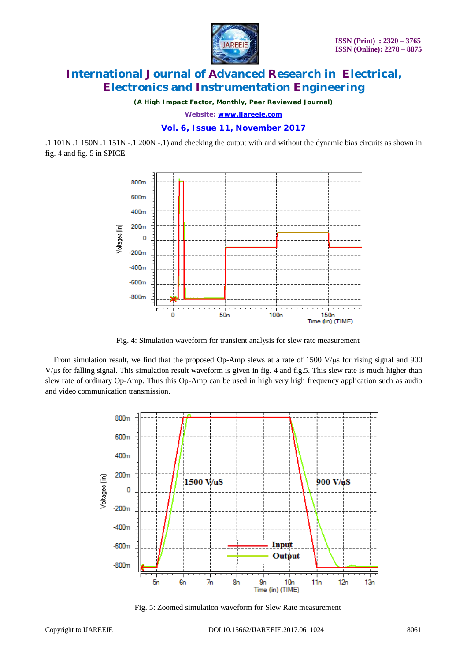

*(A High Impact Factor, Monthly, Peer Reviewed Journal)*

*Website: [www.ijareeie.com](http://www.ijareeie.com)*

#### **Vol. 6, Issue 11, November 2017**

.1 101N .1 150N .1 151N -.1 200N -.1) and checking the output with and without the dynamic bias circuits as shown in fig. 4 and fig. 5 in SPICE.



Fig. 4: Simulation waveform for transient analysis for slew rate measurement

From simulation result, we find that the proposed Op-Amp slews at a rate of 1500 V/μs for rising signal and 900  $V/\mu$ s for falling signal. This simulation result waveform is given in fig. 4 and fig.5. This slew rate is much higher than slew rate of ordinary Op-Amp. Thus this Op-Amp can be used in high very high frequency application such as audio and video communication transmission.



Fig. 5: Zoomed simulation waveform for Slew Rate measurement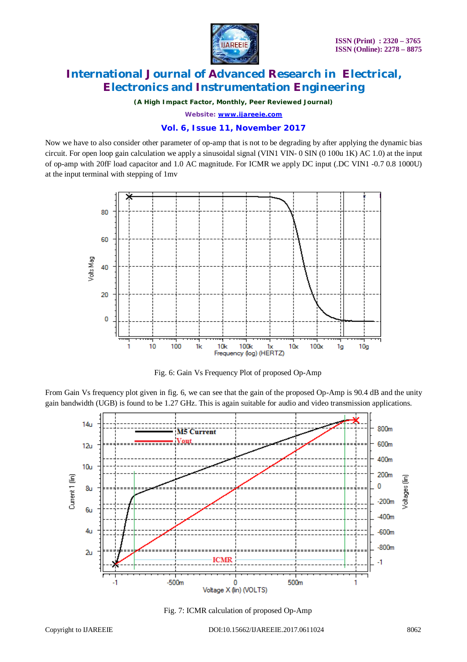

*(A High Impact Factor, Monthly, Peer Reviewed Journal)*

*Website: [www.ijareeie.com](http://www.ijareeie.com)*

### **Vol. 6, Issue 11, November 2017**

Now we have to also consider other parameter of op-amp that is not to be degrading by after applying the dynamic bias circuit. For open loop gain calculation we apply a sinusoidal signal (VIN1 VIN- 0 SIN (0 100u 1K) AC 1.0) at the input of op-amp with 20fF load capacitor and 1.0 AC magnitude. For ICMR we apply DC input (.DC VIN1 -0.7 0.8 1000U) at the input terminal with stepping of 1mv



Fig. 6: Gain Vs Frequency Plot of proposed Op-Amp

From Gain Vs frequency plot given in fig. 6, we can see that the gain of the proposed Op-Amp is 90.4 dB and the unity gain bandwidth (UGB) is found to be 1.27 GHz. This is again suitable for audio and video transmission applications.